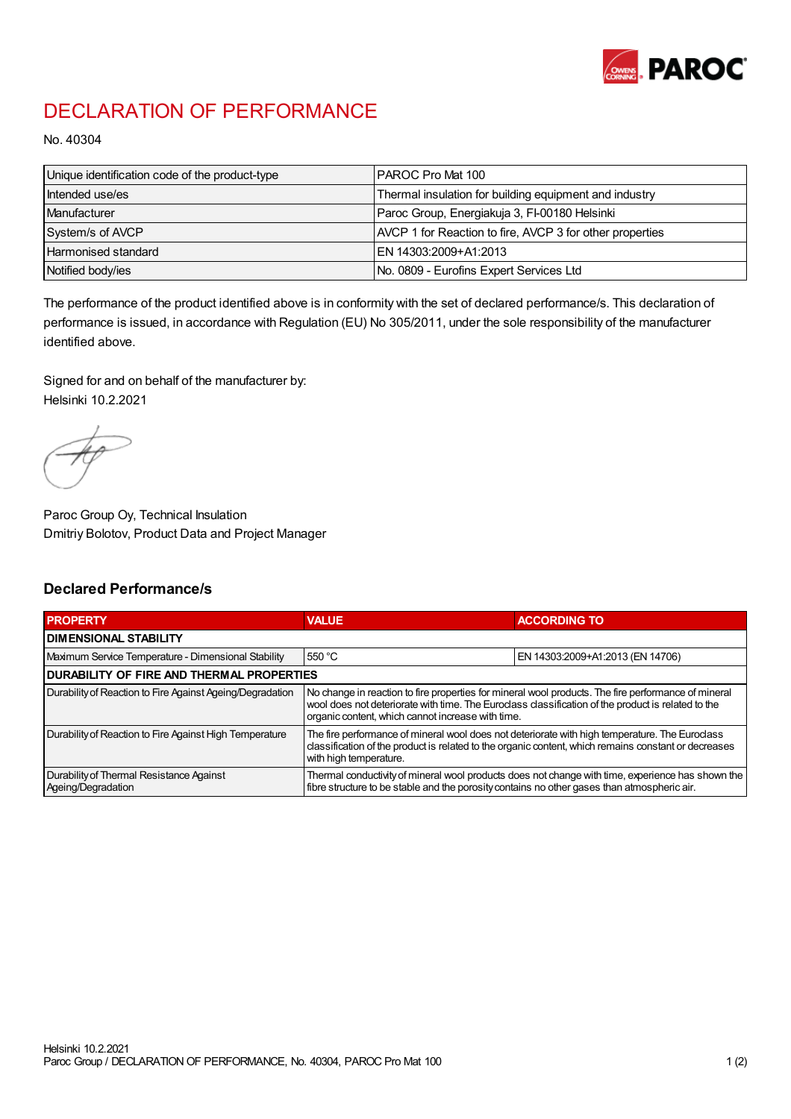

## DECLARATION OF PERFORMANCE

No. 40304

| Unique identification code of the product-type | IPAROC Pro Mat 100                                       |
|------------------------------------------------|----------------------------------------------------------|
| Intended use/es                                | Thermal insulation for building equipment and industry   |
| Manufacturer                                   | Paroc Group, Energiakuja 3, FI-00180 Helsinki            |
| System/s of AVCP                               | AVCP 1 for Reaction to fire, AVCP 3 for other properties |
| Harmonised standard                            | IEN 14303:2009+A1:2013                                   |
| Notified body/ies                              | No. 0809 - Eurofins Expert Services Ltd                  |

The performance of the product identified above is in conformity with the set of declared performance/s. This declaration of performance is issued, in accordance with Regulation (EU) No 305/2011, under the sole responsibility of the manufacturer identified above.

Signed for and on behalf of the manufacturer by: Helsinki 10.2.2021

Paroc Group Oy, Technical Insulation Dmitriy Bolotov, Product Data and Project Manager

## Declared Performance/s

| <b>PROPERTY</b>                                                | <b>VALUE</b>                                                                                                                                                                                                                                                   | <b>ACCORDING TO.</b>             |  |
|----------------------------------------------------------------|----------------------------------------------------------------------------------------------------------------------------------------------------------------------------------------------------------------------------------------------------------------|----------------------------------|--|
| <b>DIMENSIONAL STABILITY</b>                                   |                                                                                                                                                                                                                                                                |                                  |  |
| Maximum Service Temperature - Dimensional Stability            | 550 °C                                                                                                                                                                                                                                                         | EN 14303:2009+A1:2013 (EN 14706) |  |
| <b>DURABILITY OF FIRE AND THERMAL PROPERTIES</b>               |                                                                                                                                                                                                                                                                |                                  |  |
| Durability of Reaction to Fire Against Ageing/Degradation      | No change in reaction to fire properties for mineral wool products. The fire performance of mineral<br>wool does not deteriorate with time. The Euroclass classification of the product is related to the<br>organic content, which cannot increase with time. |                                  |  |
| Durability of Reaction to Fire Against High Temperature        | The fire performance of mineral wool does not deteriorate with high temperature. The Euroclass<br>classification of the product is related to the organic content, which remains constant or decreases<br>with high temperature.                               |                                  |  |
| Durability of Thermal Resistance Against<br>Ageing/Degradation | Thermal conductivity of mineral wool products does not change with time, experience has shown the<br>fibre structure to be stable and the porosity contains no other gases than atmospheric air.                                                               |                                  |  |